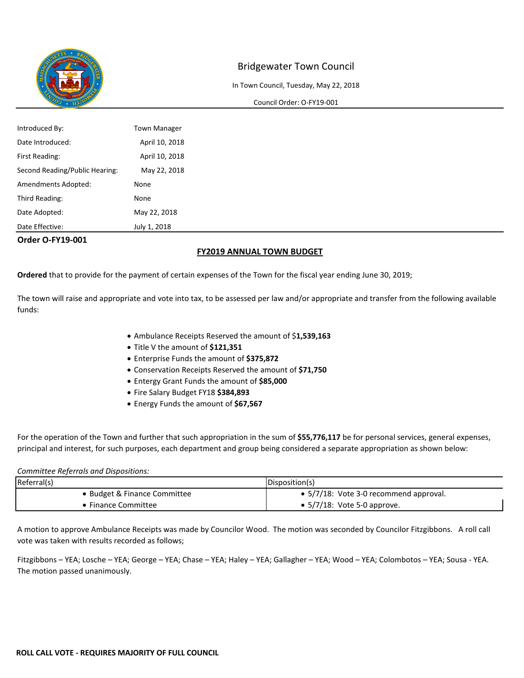

In Town Council, Tuesday, May 22, 2018

#### Council Order: O-FY19-001

| <b>Order O-FY19-001</b>        |                     |
|--------------------------------|---------------------|
| Date Effective:                | July 1, 2018        |
| Date Adopted:                  | May 22, 2018        |
| Third Reading:                 | None                |
| Amendments Adopted:            | None                |
| Second Reading/Public Hearing: | May 22, 2018        |
| First Reading:                 | April 10, 2018      |
| Date Introduced:               | April 10, 2018      |
| Introduced By:                 | <b>Town Manager</b> |

#### **FY2019 ANNUAL TOWN BUDGET**

**Ordered** that to provide for the payment of certain expenses of the Town for the fiscal year ending June 30, 2019;

The town will raise and appropriate and vote into tax, to be assessed per law and/or appropriate and transfer from the following available funds:

- Ambulance Receipts Reserved the amount of \$**1,539,163**
- Title V the amount of **\$121,351**
- Enterprise Funds the amount of **\$375,872**
- Conservation Receipts Reserved the amount of **\$71,750**
- Entergy Grant Funds the amount of **\$85,000**
- Fire Salary Budget FY18 **\$384,893**
- Energy Funds the amount of **\$67,567**

For the operation of the Town and further that such appropriation in the sum of **\$55,776,117** be for personal services, general expenses, principal and interest, for such purposes, each department and group being considered a separate appropriation as shown below:

#### *Committee Referrals and Dispositions:*

| Referral(s)                | Disposition(s)                                 |  |
|----------------------------|------------------------------------------------|--|
| Budget & Finance Committee | $\bullet$ 5/7/18: Vote 3-0 recommend approval. |  |
| <b>Finance Committee</b>   | $\bullet$ 5/7/18: Vote 5-0 approve.            |  |

A motion to approve Ambulance Receipts was made by Councilor Wood. The motion was seconded by Councilor Fitzgibbons. A roll call vote was taken with results recorded as follows;

Fitzgibbons – YEA; Losche – YEA; George – YEA; Chase – YEA; Haley – YEA; Gallagher – YEA; Wood – YEA; Colombotos – YEA; Sousa - YEA. The motion passed unanimously.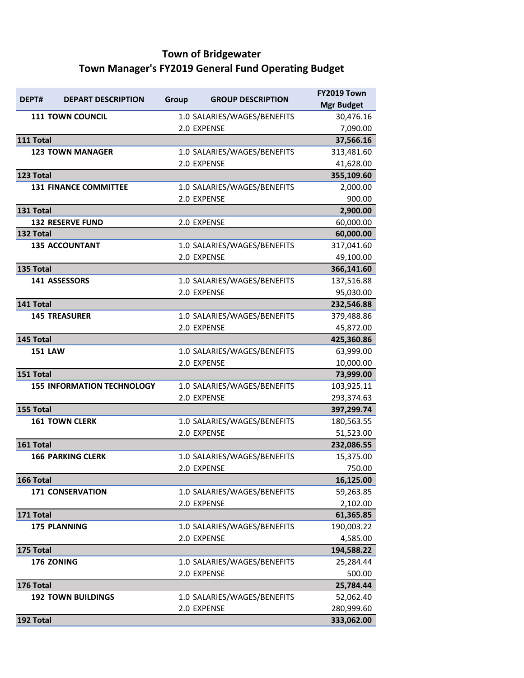# **Town of Bridgewater Town Manager's FY2019 General Fund Operating Budget**

| DEPT#          | <b>DEPART DESCRIPTION</b>         | Group | <b>GROUP DESCRIPTION</b>    | FY2019 Town       |
|----------------|-----------------------------------|-------|-----------------------------|-------------------|
|                |                                   |       |                             | <b>Mgr Budget</b> |
|                | <b>111 TOWN COUNCIL</b>           |       | 1.0 SALARIES/WAGES/BENEFITS | 30,476.16         |
|                |                                   |       | 2.0 EXPENSE                 | 7,090.00          |
| 111 Total      |                                   |       |                             | 37,566.16         |
|                | <b>123 TOWN MANAGER</b>           |       | 1.0 SALARIES/WAGES/BENEFITS | 313,481.60        |
|                |                                   |       | 2.0 EXPENSE                 | 41,628.00         |
| 123 Total      |                                   |       |                             | 355,109.60        |
|                | <b>131 FINANCE COMMITTEE</b>      |       | 1.0 SALARIES/WAGES/BENEFITS | 2,000.00          |
|                |                                   |       | 2.0 EXPENSE                 | 900.00            |
| 131 Total      |                                   |       |                             | 2,900.00          |
|                | <b>132 RESERVE FUND</b>           |       | 2.0 EXPENSE                 | 60,000.00         |
| 132 Total      |                                   |       |                             | 60,000.00         |
|                | <b>135 ACCOUNTANT</b>             |       | 1.0 SALARIES/WAGES/BENEFITS | 317,041.60        |
|                |                                   |       | 2.0 EXPENSE                 | 49,100.00         |
| 135 Total      |                                   |       |                             | 366,141.60        |
|                | 141 ASSESSORS                     |       | 1.0 SALARIES/WAGES/BENEFITS | 137,516.88        |
|                |                                   |       | 2.0 EXPENSE                 | 95,030.00         |
| 141 Total      |                                   |       |                             | 232,546.88        |
|                | <b>145 TREASURER</b>              |       | 1.0 SALARIES/WAGES/BENEFITS | 379,488.86        |
|                |                                   |       | 2.0 EXPENSE                 | 45,872.00         |
| 145 Total      |                                   |       |                             | 425,360.86        |
| <b>151 LAW</b> |                                   |       | 1.0 SALARIES/WAGES/BENEFITS | 63,999.00         |
|                |                                   |       | 2.0 EXPENSE                 | 10,000.00         |
| 151 Total      |                                   |       |                             | 73,999.00         |
|                | <b>155 INFORMATION TECHNOLOGY</b> |       | 1.0 SALARIES/WAGES/BENEFITS | 103,925.11        |
|                |                                   |       | 2.0 EXPENSE                 | 293,374.63        |
| 155 Total      |                                   |       |                             | 397,299.74        |
|                | <b>161 TOWN CLERK</b>             |       | 1.0 SALARIES/WAGES/BENEFITS | 180,563.55        |
|                |                                   |       | 2.0 EXPENSE                 | 51,523.00         |
| 161 Total      |                                   |       |                             | 232,086.55        |
|                | <b>166 PARKING CLERK</b>          |       | 1.0 SALARIES/WAGES/BENEFITS | 15,375.00         |
|                |                                   |       | 2.0 EXPENSE                 | 750.00            |
| 166 Total      |                                   |       |                             | 16,125.00         |
|                | <b>171 CONSERVATION</b>           |       | 1.0 SALARIES/WAGES/BENEFITS | 59,263.85         |
|                |                                   |       | 2.0 EXPENSE                 | 2,102.00          |
| 171 Total      |                                   |       |                             | 61,365.85         |
|                | <b>175 PLANNING</b>               |       | 1.0 SALARIES/WAGES/BENEFITS | 190,003.22        |
|                |                                   |       | 2.0 EXPENSE                 | 4,585.00          |
| 175 Total      |                                   |       |                             | 194,588.22        |
|                | 176 ZONING                        |       | 1.0 SALARIES/WAGES/BENEFITS | 25,284.44         |
|                |                                   |       | 2.0 EXPENSE                 | 500.00            |
| 176 Total      |                                   |       |                             | 25,784.44         |
|                | <b>192 TOWN BUILDINGS</b>         |       | 1.0 SALARIES/WAGES/BENEFITS | 52,062.40         |
|                |                                   |       | 2.0 EXPENSE                 | 280,999.60        |
| 192 Total      |                                   |       |                             | 333,062.00        |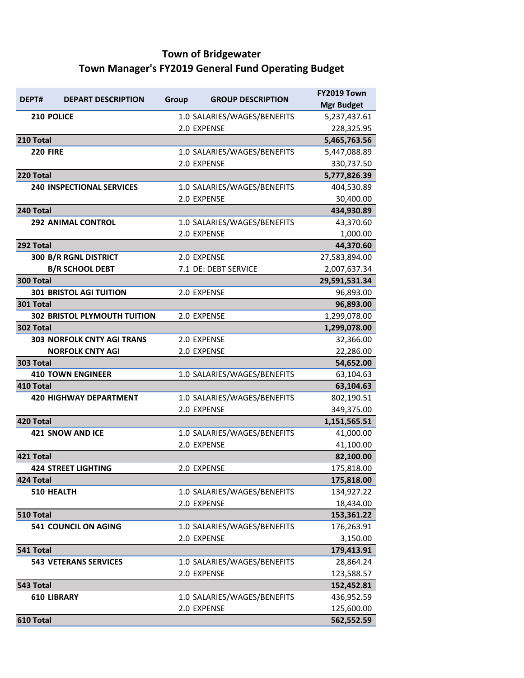# **Town of Bridgewater Town Manager's FY2019 General Fund Operating Budget**

| DEPT#              |                                     |       |                             | FY2019 Town       |
|--------------------|-------------------------------------|-------|-----------------------------|-------------------|
|                    | <b>DEPART DESCRIPTION</b>           | Group | <b>GROUP DESCRIPTION</b>    | <b>Mgr Budget</b> |
| 210 POLICE         |                                     |       | 1.0 SALARIES/WAGES/BENEFITS | 5,237,437.61      |
|                    |                                     |       | 2.0 EXPENSE                 | 228,325.95        |
| 210 Total          |                                     |       |                             | 5,465,763.56      |
| <b>220 FIRE</b>    |                                     |       | 1.0 SALARIES/WAGES/BENEFITS | 5,447,088.89      |
|                    |                                     |       | 2.0 EXPENSE                 | 330,737.50        |
| 220 Total          |                                     |       |                             | 5,777,826.39      |
|                    | <b>240 INSPECTIONAL SERVICES</b>    |       | 1.0 SALARIES/WAGES/BENEFITS | 404,530.89        |
|                    |                                     |       | 2.0 EXPENSE                 | 30,400.00         |
| 240 Total          |                                     |       |                             | 434,930.89        |
|                    | <b>292 ANIMAL CONTROL</b>           |       | 1.0 SALARIES/WAGES/BENEFITS | 43,370.60         |
|                    |                                     |       | 2.0 EXPENSE                 | 1,000.00          |
| 292 Total          |                                     |       |                             | 44,370.60         |
|                    | 300 B/R RGNL DISTRICT               |       | 2.0 EXPENSE                 | 27,583,894.00     |
|                    | <b>B/R SCHOOL DEBT</b>              |       | 7.1 DE: DEBT SERVICE        | 2,007,637.34      |
| 300 Total          |                                     |       |                             | 29,591,531.34     |
|                    | <b>301 BRISTOL AGI TUITION</b>      |       | 2.0 EXPENSE                 | 96,893.00         |
| 301 Total          |                                     |       |                             | 96,893.00         |
|                    | <b>302 BRISTOL PLYMOUTH TUITION</b> |       | 2.0 EXPENSE                 | 1,299,078.00      |
| 302 Total          |                                     |       |                             | 1,299,078.00      |
|                    | <b>303 NORFOLK CNTY AGI TRANS</b>   |       | 2.0 EXPENSE                 | 32,366.00         |
|                    | <b>NORFOLK CNTY AGI</b>             |       | 2.0 EXPENSE                 | 22,286.00         |
| 303 Total          |                                     |       |                             | 54,652.00         |
|                    | <b>410 TOWN ENGINEER</b>            |       | 1.0 SALARIES/WAGES/BENEFITS | 63,104.63         |
| 410 Total          |                                     |       |                             | 63,104.63         |
|                    | <b>420 HIGHWAY DEPARTMENT</b>       |       | 1.0 SALARIES/WAGES/BENEFITS | 802,190.51        |
|                    |                                     |       | 2.0 EXPENSE                 | 349,375.00        |
| 420 Total          |                                     |       |                             | 1,151,565.51      |
|                    | <b>421 SNOW AND ICE</b>             |       | 1.0 SALARIES/WAGES/BENEFITS | 41,000.00         |
|                    |                                     |       | 2.0 EXPENSE                 | 41,100.00         |
| 421 Total          |                                     |       |                             | 82,100.00         |
|                    | <b>424 STREET LIGHTING</b>          |       | 2.0 EXPENSE                 | 175,818.00        |
| 424 Total          |                                     |       |                             | 175,818.00        |
| 510 HEALTH         |                                     |       | 1.0 SALARIES/WAGES/BENEFITS | 134,927.22        |
|                    |                                     |       | 2.0 EXPENSE                 | 18,434.00         |
| 510 Total          |                                     |       |                             | 153,361.22        |
|                    | <b>541 COUNCIL ON AGING</b>         |       | 1.0 SALARIES/WAGES/BENEFITS | 176,263.91        |
|                    |                                     |       | 2.0 EXPENSE                 | 3,150.00          |
| 541 Total          |                                     |       |                             | 179,413.91        |
|                    | <b>543 VETERANS SERVICES</b>        |       | 1.0 SALARIES/WAGES/BENEFITS | 28,864.24         |
|                    |                                     |       | 2.0 EXPENSE                 | 123,588.57        |
| 543 Total          |                                     |       |                             | 152,452.81        |
| <b>610 LIBRARY</b> |                                     |       | 1.0 SALARIES/WAGES/BENEFITS | 436,952.59        |
|                    |                                     |       | 2.0 EXPENSE                 | 125,600.00        |
| 610 Total          |                                     |       |                             | 562,552.59        |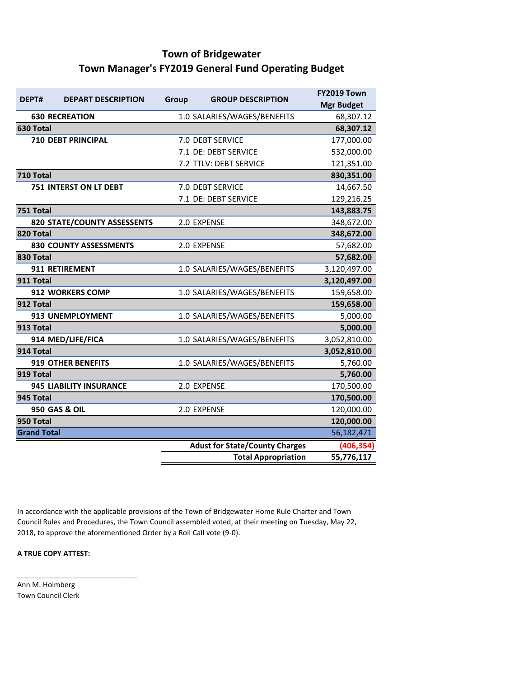## **Town of Bridgewater Town Manager's FY2019 General Fund Operating Budget**

| DEPT#              | <b>DEPART DESCRIPTION</b>     | <b>GROUP DESCRIPTION</b><br>Group |                                       | FY2019 Town       |
|--------------------|-------------------------------|-----------------------------------|---------------------------------------|-------------------|
|                    |                               |                                   |                                       | <b>Mgr Budget</b> |
|                    | <b>630 RECREATION</b>         |                                   | 1.0 SALARIES/WAGES/BENEFITS           | 68,307.12         |
| 630 Total          |                               |                                   |                                       | 68,307.12         |
|                    | <b>710 DEBT PRINCIPAL</b>     |                                   | 7.0 DEBT SERVICE                      | 177,000.00        |
|                    |                               |                                   | 7.1 DE: DEBT SERVICE                  | 532,000.00        |
|                    |                               |                                   | 7.2 TTLV: DEBT SERVICE                | 121,351.00        |
| 710 Total          |                               |                                   |                                       | 830,351.00        |
|                    | 751 INTERST ON LT DEBT        |                                   | 7.0 DEBT SERVICE                      | 14,667.50         |
|                    |                               |                                   | 7.1 DE: DEBT SERVICE                  | 129,216.25        |
| 751 Total          |                               |                                   |                                       | 143,883.75        |
|                    | 820 STATE/COUNTY ASSESSENTS   |                                   | 2.0 EXPENSE                           | 348,672.00        |
| 820 Total          |                               |                                   |                                       | 348,672.00        |
|                    | <b>830 COUNTY ASSESSMENTS</b> |                                   | 2.0 EXPENSE                           | 57,682.00         |
| 830 Total          |                               |                                   |                                       | 57,682.00         |
|                    | 911 RETIREMENT                |                                   | 1.0 SALARIES/WAGES/BENEFITS           | 3,120,497.00      |
| 911 Total          |                               |                                   |                                       | 3,120,497.00      |
|                    | 912 WORKERS COMP              |                                   | 1.0 SALARIES/WAGES/BENEFITS           | 159,658.00        |
| 912 Total          |                               |                                   |                                       | 159,658.00        |
|                    | 913 UNEMPLOYMENT              |                                   | 1.0 SALARIES/WAGES/BENEFITS           | 5,000.00          |
| 913 Total          |                               |                                   |                                       | 5,000.00          |
|                    | 914 MED/LIFE/FICA             |                                   | 1.0 SALARIES/WAGES/BENEFITS           | 3,052,810.00      |
| 914 Total          |                               |                                   |                                       | 3,052,810.00      |
|                    | <b>919 OTHER BENEFITS</b>     |                                   | 1.0 SALARIES/WAGES/BENEFITS           | 5,760.00          |
| 919 Total          |                               |                                   |                                       | 5,760.00          |
|                    | 945 LIABILITY INSURANCE       |                                   | 2.0 EXPENSE                           | 170,500.00        |
| 945 Total          |                               |                                   |                                       | 170,500.00        |
|                    | <b>950 GAS &amp; OIL</b>      |                                   | 2.0 EXPENSE                           | 120,000.00        |
| 950 Total          |                               |                                   |                                       | 120,000.00        |
| <b>Grand Total</b> |                               |                                   |                                       | 56,182,471        |
|                    |                               |                                   | <b>Adust for State/County Charges</b> | (406, 354)        |
|                    |                               |                                   | <b>Total Appropriation</b>            | 55,776,117        |

In accordance with the applicable provisions of the Town of Bridgewater Home Rule Charter and Town Council Rules and Procedures, the Town Council assembled voted, at their meeting on Tuesday, May 22, 2018, to approve the aforementioned Order by a Roll Call vote (9-0).

#### **A TRUE COPY ATTEST:**

\_\_\_\_\_\_\_\_\_\_\_\_\_\_\_\_\_\_\_\_\_\_\_\_\_\_\_\_\_\_

Ann M. Holmberg Town Council Clerk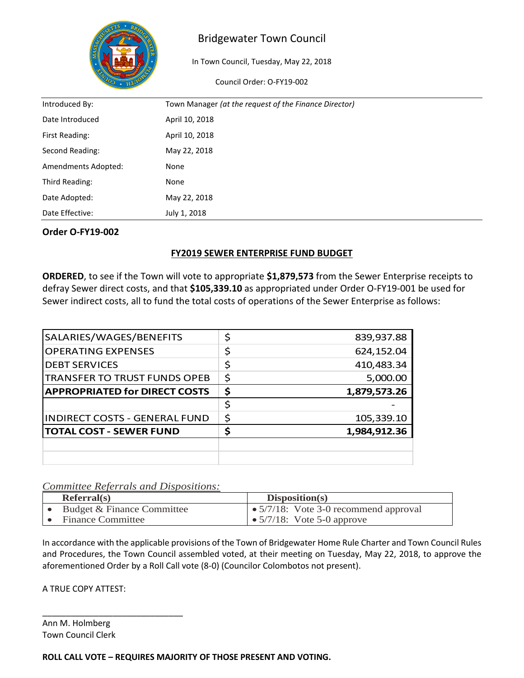

In Town Council, Tuesday, May 22, 2018

Council Order: O-FY19-002

| Introduced By:      | Town Manager (at the request of the Finance Director) |
|---------------------|-------------------------------------------------------|
| Date Introduced     | April 10, 2018                                        |
| First Reading:      | April 10, 2018                                        |
| Second Reading:     | May 22, 2018                                          |
| Amendments Adopted: | None                                                  |
| Third Reading:      | None                                                  |
| Date Adopted:       | May 22, 2018                                          |
| Date Effective:     | July 1, 2018                                          |

#### **Order O-FY19-002**

### **FY2019 SEWER ENTERPRISE FUND BUDGET**

**ORDERED**, to see if the Town will vote to appropriate **\$1,879,573** from the Sewer Enterprise receipts to defray Sewer direct costs, and that **\$105,339.10** as appropriated under Order O-FY19-001 be used for Sewer indirect costs, all to fund the total costs of operations of the Sewer Enterprise as follows:

| SALARIES/WAGES/BENEFITS              |    | 839,937.88   |
|--------------------------------------|----|--------------|
| <b>OPERATING EXPENSES</b>            |    | 624,152.04   |
| <b>DEBT SERVICES</b>                 | Ś  | 410,483.34   |
| <b>TRANSFER TO TRUST FUNDS OPEB</b>  | \$ | 5,000.00     |
| <b>APPROPRIATED for DIRECT COSTS</b> | \$ | 1,879,573.26 |
|                                      | ς  |              |
| <b>INDIRECT COSTS - GENERAL FUND</b> | \$ | 105,339.10   |
| <b>TOTAL COST - SEWER FUND</b>       |    | 1,984,912.36 |
|                                      |    |              |
|                                      |    |              |

### *Committee Referrals and Dispositions:*

| Referral(s)                | Disposition(s)                                |
|----------------------------|-----------------------------------------------|
| Budget & Finance Committee | $\bullet$ 5/7/18: Vote 3-0 recommend approval |
| <b>Finance Committee</b>   | $\bullet$ 5/7/18: Vote 5-0 approve            |

In accordance with the applicable provisions of the Town of Bridgewater Home Rule Charter and Town Council Rules and Procedures, the Town Council assembled voted, at their meeting on Tuesday, May 22, 2018, to approve the aforementioned Order by a Roll Call vote (8-0) (Councilor Colombotos not present).

A TRUE COPY ATTEST:

\_\_\_\_\_\_\_\_\_\_\_\_\_\_\_\_\_\_\_\_\_\_\_\_\_\_\_\_\_\_

Ann M. Holmberg Town Council Clerk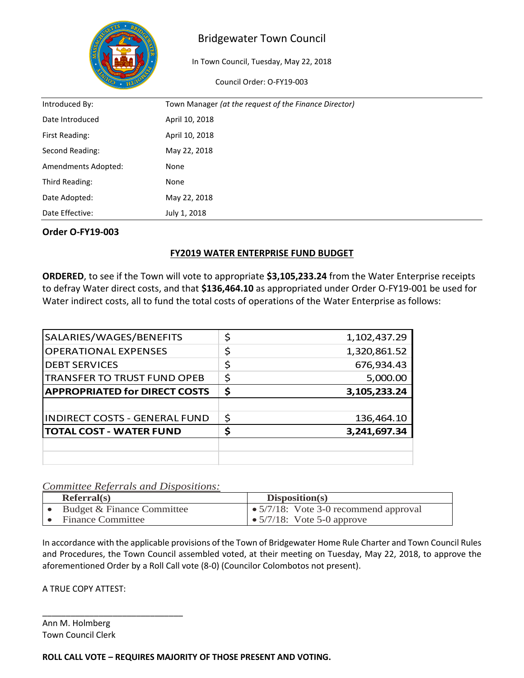

In Town Council, Tuesday, May 22, 2018

Council Order: O-FY19-003

| Introduced By:      | Town Manager (at the request of the Finance Director) |
|---------------------|-------------------------------------------------------|
| Date Introduced     | April 10, 2018                                        |
| First Reading:      | April 10, 2018                                        |
| Second Reading:     | May 22, 2018                                          |
| Amendments Adopted: | None                                                  |
| Third Reading:      | None                                                  |
| Date Adopted:       | May 22, 2018                                          |
| Date Effective:     | July 1, 2018                                          |

#### **Order O-FY19-003**

#### **FY2019 WATER ENTERPRISE FUND BUDGET**

**ORDERED**, to see if the Town will vote to appropriate **\$3,105,233.24** from the Water Enterprise receipts to defray Water direct costs, and that **\$136,464.10** as appropriated under Order O-FY19-001 be used for Water indirect costs, all to fund the total costs of operations of the Water Enterprise as follows:

| SALARIES/WAGES/BENEFITS              | 1,102,437.29       |
|--------------------------------------|--------------------|
| <b>OPERATIONAL EXPENSES</b>          | 1,320,861.52       |
| <b>DEBT SERVICES</b>                 | \$<br>676,934.43   |
| <b>TRANSFER TO TRUST FUND OPEB</b>   | \$<br>5,000.00     |
| <b>APPROPRIATED for DIRECT COSTS</b> | \$<br>3,105,233.24 |
|                                      |                    |
|                                      |                    |
| <b>INDIRECT COSTS - GENERAL FUND</b> | \$<br>136,464.10   |
| <b>TOTAL COST - WATER FUND</b>       | 3,241,697.34       |
|                                      |                    |

#### *Committee Referrals and Dispositions:*

| Referral(s)                | Disposition(s)                                |
|----------------------------|-----------------------------------------------|
| Budget & Finance Committee | $\bullet$ 5/7/18: Vote 3-0 recommend approval |
| <b>Finance Committee</b>   | $\bullet$ 5/7/18: Vote 5-0 approve            |

In accordance with the applicable provisions of the Town of Bridgewater Home Rule Charter and Town Council Rules and Procedures, the Town Council assembled voted, at their meeting on Tuesday, May 22, 2018, to approve the aforementioned Order by a Roll Call vote (8-0) (Councilor Colombotos not present).

A TRUE COPY ATTEST:

\_\_\_\_\_\_\_\_\_\_\_\_\_\_\_\_\_\_\_\_\_\_\_\_\_\_\_\_\_\_

Ann M. Holmberg Town Council Clerk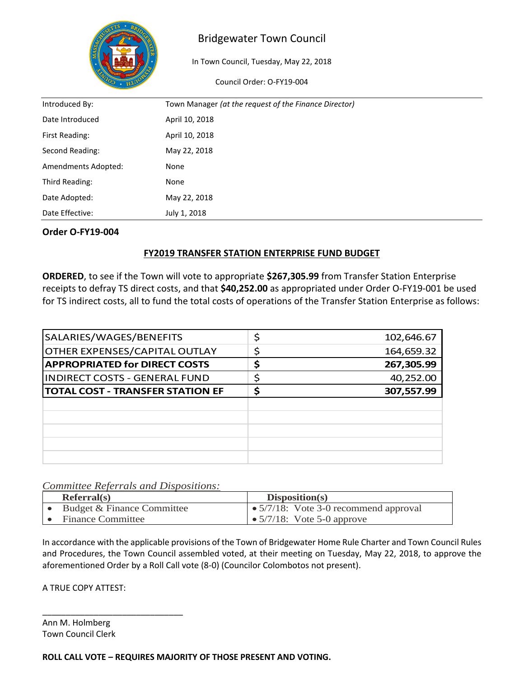

In Town Council, Tuesday, May 22, 2018

Council Order: O-FY19-004

| Introduced By:      | Town Manager (at the request of the Finance Director) |
|---------------------|-------------------------------------------------------|
| Date Introduced     | April 10, 2018                                        |
| First Reading:      | April 10, 2018                                        |
| Second Reading:     | May 22, 2018                                          |
| Amendments Adopted: | None                                                  |
| Third Reading:      | None                                                  |
| Date Adopted:       | May 22, 2018                                          |
| Date Effective:     | July 1, 2018                                          |

#### **Order O-FY19-004**

#### **FY2019 TRANSFER STATION ENTERPRISE FUND BUDGET**

**ORDERED**, to see if the Town will vote to appropriate **\$267,305.99** from Transfer Station Enterprise receipts to defray TS direct costs, and that **\$40,252.00** as appropriated under Order O-FY19-001 be used for TS indirect costs, all to fund the total costs of operations of the Transfer Station Enterprise as follows:

| SALARIES/WAGES/BENEFITS                 | Ć | 102,646.67 |
|-----------------------------------------|---|------------|
| <b>OTHER EXPENSES/CAPITAL OUTLAY</b>    |   | 164,659.32 |
| <b>APPROPRIATED for DIRECT COSTS</b>    | S | 267,305.99 |
| <b>INDIRECT COSTS - GENERAL FUND</b>    |   | 40,252.00  |
| <b>TOTAL COST - TRANSFER STATION EF</b> |   | 307,557.99 |
|                                         |   |            |
|                                         |   |            |
|                                         |   |            |
|                                         |   |            |
|                                         |   |            |

#### *Committee Referrals and Dispositions:*

| Referral(s)                | Disposition(s)                                |
|----------------------------|-----------------------------------------------|
| Budget & Finance Committee | $\bullet$ 5/7/18: Vote 3-0 recommend approval |
| <b>Finance Committee</b>   | $\bullet$ 5/7/18: Vote 5-0 approve            |

In accordance with the applicable provisions of the Town of Bridgewater Home Rule Charter and Town Council Rules and Procedures, the Town Council assembled voted, at their meeting on Tuesday, May 22, 2018, to approve the aforementioned Order by a Roll Call vote (8-0) (Councilor Colombotos not present).

A TRUE COPY ATTEST:

\_\_\_\_\_\_\_\_\_\_\_\_\_\_\_\_\_\_\_\_\_\_\_\_\_\_\_\_\_\_

Ann M. Holmberg Town Council Clerk